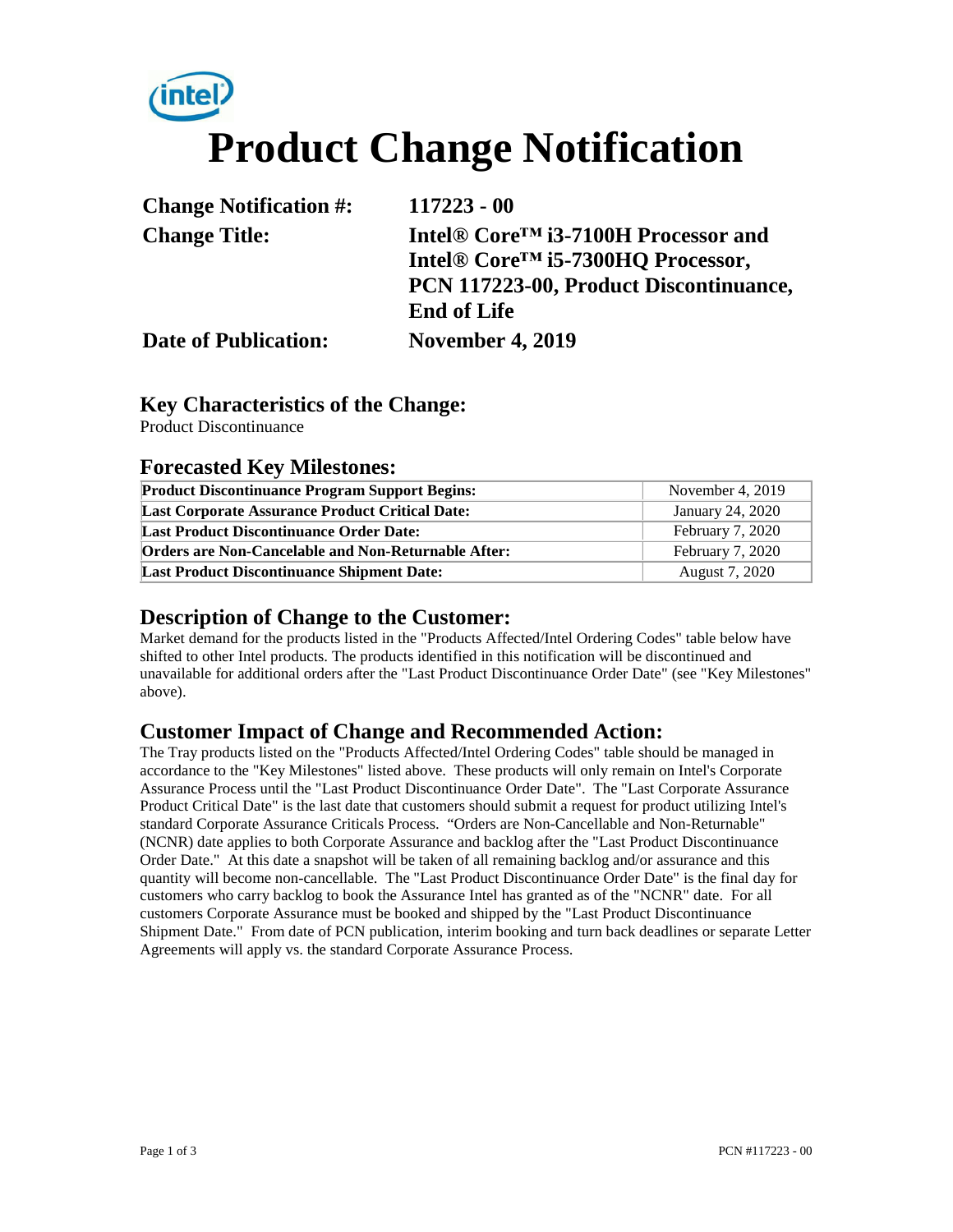# **Product Change Notification**

| <b>Change Notification #:</b> | $117223 - 00$                                    |
|-------------------------------|--------------------------------------------------|
| <b>Change Title:</b>          | Intel® Core <sup>TM</sup> i3-7100H Processor and |
|                               | Intel® Core <sup>TM</sup> i5-7300HQ Processor.   |
|                               | PCN 117223-00, Product Discontinuance,           |
|                               | <b>End of Life</b>                               |
| <b>Date of Publication:</b>   | <b>November 4, 2019</b>                          |

#### **Key Characteristics of the Change:**

Product Discontinuance

#### **Forecasted Key Milestones:**

| <b>Product Discontinuance Program Support Begins:</b>      | November 4, 2019 |  |
|------------------------------------------------------------|------------------|--|
| <b>Last Corporate Assurance Product Critical Date:</b>     | January 24, 2020 |  |
| <b>Last Product Discontinuance Order Date:</b>             | February 7, 2020 |  |
| <b>Orders are Non-Cancelable and Non-Returnable After:</b> | February 7, 2020 |  |
| <b>Last Product Discontinuance Shipment Date:</b>          | August 7, 2020   |  |

#### **Description of Change to the Customer:**

Market demand for the products listed in the "Products Affected/Intel Ordering Codes" table below have shifted to other Intel products. The products identified in this notification will be discontinued and unavailable for additional orders after the "Last Product Discontinuance Order Date" (see "Key Milestones" above).

#### **Customer Impact of Change and Recommended Action:**

The Tray products listed on the "Products Affected/Intel Ordering Codes" table should be managed in accordance to the "Key Milestones" listed above. These products will only remain on Intel's Corporate Assurance Process until the "Last Product Discontinuance Order Date". The "Last Corporate Assurance Product Critical Date" is the last date that customers should submit a request for product utilizing Intel's standard Corporate Assurance Criticals Process. "Orders are Non-Cancellable and Non-Returnable" (NCNR) date applies to both Corporate Assurance and backlog after the "Last Product Discontinuance Order Date." At this date a snapshot will be taken of all remaining backlog and/or assurance and this quantity will become non-cancellable. The "Last Product Discontinuance Order Date" is the final day for customers who carry backlog to book the Assurance Intel has granted as of the "NCNR" date. For all customers Corporate Assurance must be booked and shipped by the "Last Product Discontinuance Shipment Date." From date of PCN publication, interim booking and turn back deadlines or separate Letter Agreements will apply vs. the standard Corporate Assurance Process.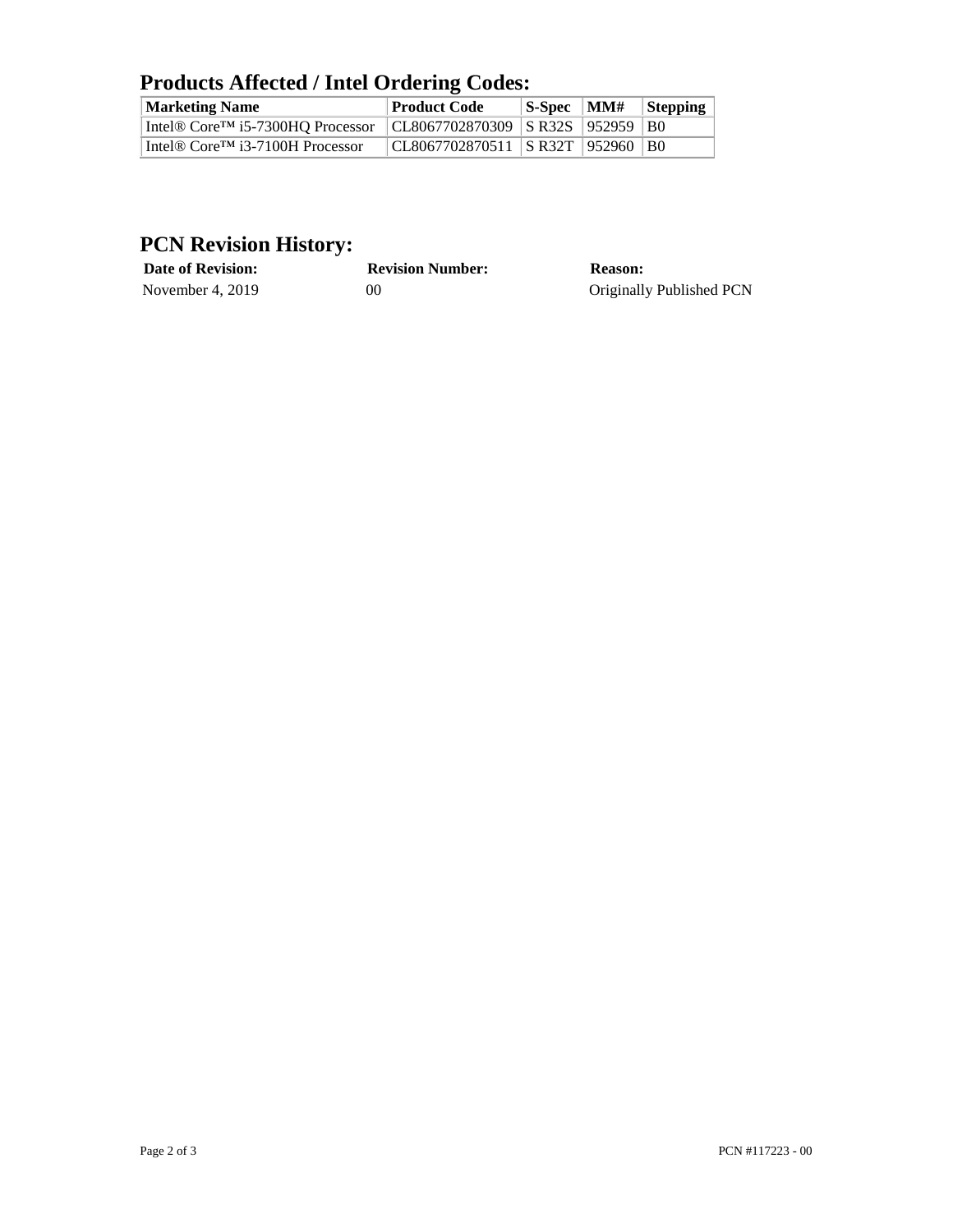## **Products Affected / Intel Ordering Codes:**

| <b>Marketing Name</b>                                     | <b>Product Code</b>                   | $ S\text{-}Spec$ $ MM#$ | $\blacksquare$ Stepping |
|-----------------------------------------------------------|---------------------------------------|-------------------------|-------------------------|
| Intel <sup>®</sup> Core <sup>TM</sup> i5-7300HO Processor | CL8067702870309   SR32S   952959   B0 |                         |                         |
| Intel <sup>®</sup> Core <sup>TM</sup> i3-7100H Processor  | CL8067702870511   SR32T   952960   B0 |                         |                         |

### **PCN Revision History:**

| <b>Date of Revision:</b> | <b>Revision Number:</b> | <b>Reason:</b>           |
|--------------------------|-------------------------|--------------------------|
| November 4, $2019$       | 00                      | Originally Published PCN |